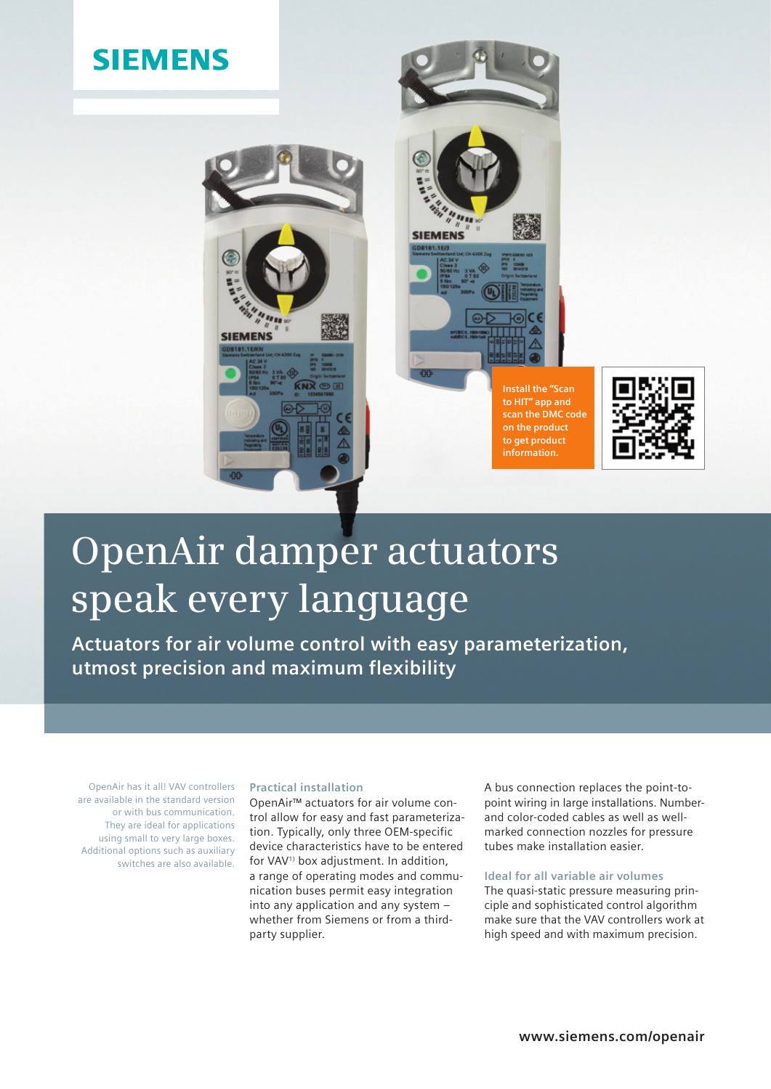# **SIEMENS**



**SIEMENS Install the "Scan** 

**to HIT" app and** 

**on the product to get product information.**



# **OpenAir damper actuators speak every language**

**Actuators for air volume control with easy parameterization, utmost precision and maximum flexibility**

OpenAir has it all! VAV controllers are available in the standard version or with bus communication. They are ideal for applications using small to very large boxes. Additional options such as auxiliary switches are also available.

## **Practical installation**

OpenAir™ actuators for air volume control allow for easy and fast parameterization. Typically, only three OEM-specific device characteristics have to be entered for VAV<sup>1)</sup> box adjustment. In addition, a range of operating modes and communication buses permit easy integration into any application and any system – whether from Siemens or from a thirdparty supplier.

A bus connection replaces the point-topoint wiring in large installations. Numberand color-coded cables as well as wellmarked connection nozzles for pressure tubes make installation easier.

## **Ideal for all variable air volumes**

The quasi-static pressure measuring principle and sophisticated control algorithm make sure that the VAV controllers work at high speed and with maximum precision.